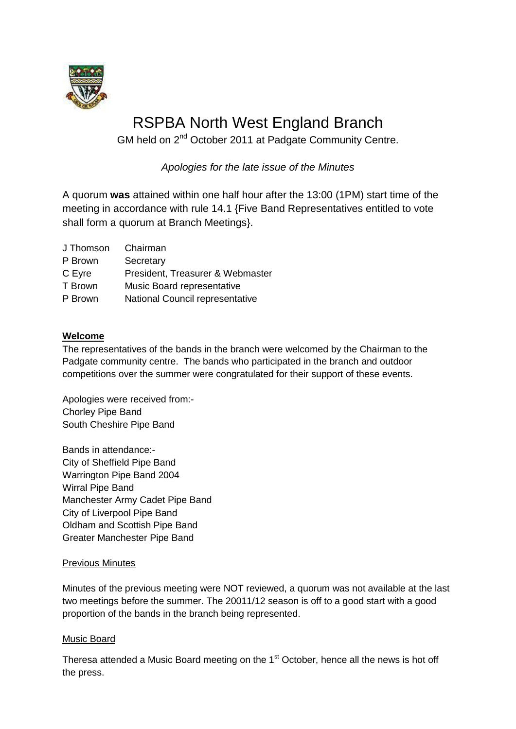

# RSPBA North West England Branch

GM held on 2<sup>nd</sup> October 2011 at Padgate Community Centre.

*Apologies for the late issue of the Minutes*

A quorum **was** attained within one half hour after the 13:00 (1PM) start time of the meeting in accordance with rule 14.1 {Five Band Representatives entitled to vote shall form a quorum at Branch Meetings}.

| J Thomson. | Chairman                         |
|------------|----------------------------------|
| P Brown    | Secretary                        |
| C Eyre     | President, Treasurer & Webmaster |
| T Brown    | Music Board representative       |

P Brown National Council representative

# **Welcome**

The representatives of the bands in the branch were welcomed by the Chairman to the Padgate community centre. The bands who participated in the branch and outdoor competitions over the summer were congratulated for their support of these events.

Apologies were received from:- Chorley Pipe Band South Cheshire Pipe Band

Bands in attendance:- City of Sheffield Pipe Band Warrington Pipe Band 2004 Wirral Pipe Band Manchester Army Cadet Pipe Band City of Liverpool Pipe Band Oldham and Scottish Pipe Band Greater Manchester Pipe Band

## Previous Minutes

Minutes of the previous meeting were NOT reviewed, a quorum was not available at the last two meetings before the summer. The 20011/12 season is off to a good start with a good proportion of the bands in the branch being represented.

## Music Board

Theresa attended a Music Board meeting on the 1<sup>st</sup> October, hence all the news is hot off the press.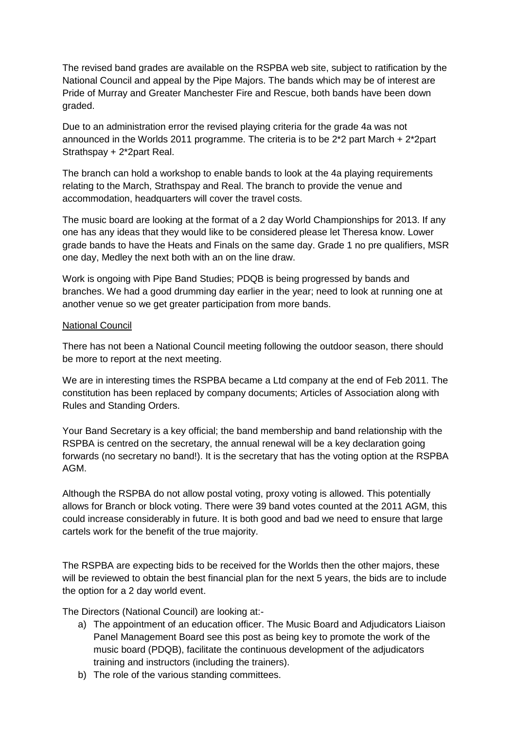The revised band grades are available on the RSPBA web site, subject to ratification by the National Council and appeal by the Pipe Majors. The bands which may be of interest are Pride of Murray and Greater Manchester Fire and Rescue, both bands have been down graded.

Due to an administration error the revised playing criteria for the grade 4a was not announced in the Worlds 2011 programme. The criteria is to be 2\*2 part March + 2\*2part Strathspay + 2\*2part Real.

The branch can hold a workshop to enable bands to look at the 4a playing requirements relating to the March, Strathspay and Real. The branch to provide the venue and accommodation, headquarters will cover the travel costs.

The music board are looking at the format of a 2 day World Championships for 2013. If any one has any ideas that they would like to be considered please let Theresa know. Lower grade bands to have the Heats and Finals on the same day. Grade 1 no pre qualifiers, MSR one day, Medley the next both with an on the line draw.

Work is ongoing with Pipe Band Studies; PDQB is being progressed by bands and branches. We had a good drumming day earlier in the year; need to look at running one at another venue so we get greater participation from more bands.

#### National Council

There has not been a National Council meeting following the outdoor season, there should be more to report at the next meeting.

We are in interesting times the RSPBA became a Ltd company at the end of Feb 2011. The constitution has been replaced by company documents; Articles of Association along with Rules and Standing Orders.

Your Band Secretary is a key official; the band membership and band relationship with the RSPBA is centred on the secretary, the annual renewal will be a key declaration going forwards (no secretary no band!). It is the secretary that has the voting option at the RSPBA AGM.

Although the RSPBA do not allow postal voting, proxy voting is allowed. This potentially allows for Branch or block voting. There were 39 band votes counted at the 2011 AGM, this could increase considerably in future. It is both good and bad we need to ensure that large cartels work for the benefit of the true majority.

The RSPBA are expecting bids to be received for the Worlds then the other majors, these will be reviewed to obtain the best financial plan for the next 5 years, the bids are to include the option for a 2 day world event.

The Directors (National Council) are looking at:-

- a) The appointment of an education officer. The Music Board and Adjudicators Liaison Panel Management Board see this post as being key to promote the work of the music board (PDQB), facilitate the continuous development of the adjudicators training and instructors (including the trainers).
- b) The role of the various standing committees.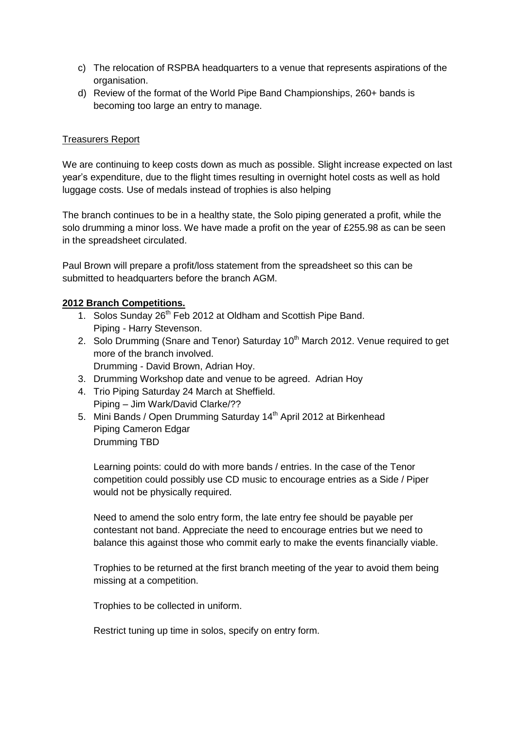- c) The relocation of RSPBA headquarters to a venue that represents aspirations of the organisation.
- d) Review of the format of the World Pipe Band Championships, 260+ bands is becoming too large an entry to manage.

## Treasurers Report

We are continuing to keep costs down as much as possible. Slight increase expected on last year's expenditure, due to the flight times resulting in overnight hotel costs as well as hold luggage costs. Use of medals instead of trophies is also helping

The branch continues to be in a healthy state, the Solo piping generated a profit, while the solo drumming a minor loss. We have made a profit on the year of £255.98 as can be seen in the spreadsheet circulated.

Paul Brown will prepare a profit/loss statement from the spreadsheet so this can be submitted to headquarters before the branch AGM.

## **2012 Branch Competitions.**

- 1. Solos Sunday 26<sup>th</sup> Feb 2012 at Oldham and Scottish Pipe Band. Piping - Harry Stevenson.
- 2. Solo Drumming (Snare and Tenor) Saturday 10<sup>th</sup> March 2012. Venue required to get more of the branch involved. Drumming - David Brown, Adrian Hoy.
- 3. Drumming Workshop date and venue to be agreed. Adrian Hoy
- 4. Trio Piping Saturday 24 March at Sheffield. Piping – Jim Wark/David Clarke/??
- 5. Mini Bands / Open Drumming Saturday 14<sup>th</sup> April 2012 at Birkenhead Piping Cameron Edgar Drumming TBD

Learning points: could do with more bands / entries. In the case of the Tenor competition could possibly use CD music to encourage entries as a Side / Piper would not be physically required.

Need to amend the solo entry form, the late entry fee should be payable per contestant not band. Appreciate the need to encourage entries but we need to balance this against those who commit early to make the events financially viable.

Trophies to be returned at the first branch meeting of the year to avoid them being missing at a competition.

Trophies to be collected in uniform.

Restrict tuning up time in solos, specify on entry form.